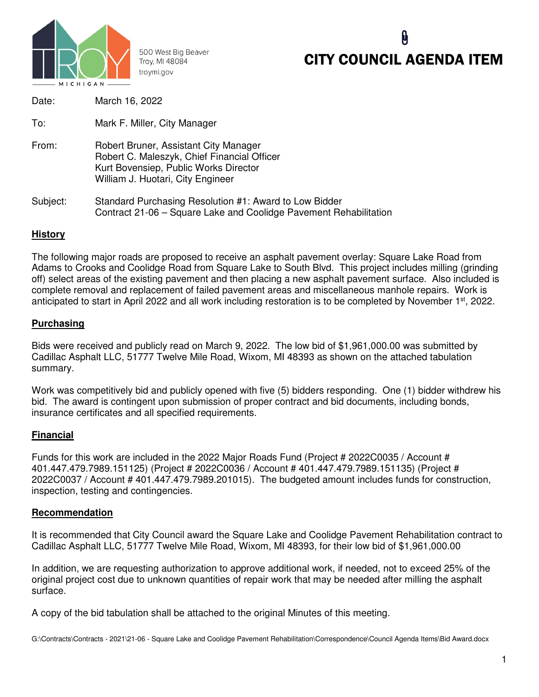

500 West Big Beaver Troy, MI 48084 troymi.gov

# CITY COUNCIL AGENDA ITEM

| Date:    | March 16, 2022                                                                                                                                                     |
|----------|--------------------------------------------------------------------------------------------------------------------------------------------------------------------|
| To:      | Mark F. Miller, City Manager                                                                                                                                       |
| From:    | Robert Bruner, Assistant City Manager<br>Robert C. Maleszyk, Chief Financial Officer<br>Kurt Bovensiep, Public Works Director<br>William J. Huotari, City Engineer |
| Subject: | Standard Purchasing Resolution #1: Award to Low Bidder<br>Contract 21-06 – Square Lake and Coolidge Pavement Rehabilitation                                        |

# **History**

The following major roads are proposed to receive an asphalt pavement overlay: Square Lake Road from Adams to Crooks and Coolidge Road from Square Lake to South Blvd. This project includes milling (grinding off) select areas of the existing pavement and then placing a new asphalt pavement surface. Also included is complete removal and replacement of failed pavement areas and miscellaneous manhole repairs. Work is anticipated to start in April 2022 and all work including restoration is to be completed by November 1<sup>st</sup>, 2022.

#### **Purchasing**

Bids were received and publicly read on March 9, 2022. The low bid of \$1,961,000.00 was submitted by Cadillac Asphalt LLC, 51777 Twelve Mile Road, Wixom, MI 48393 as shown on the attached tabulation summary.

Work was competitively bid and publicly opened with five (5) bidders responding. One (1) bidder withdrew his bid. The award is contingent upon submission of proper contract and bid documents, including bonds, insurance certificates and all specified requirements.

# **Financial**

Funds for this work are included in the 2022 Major Roads Fund (Project # 2022C0035 / Account # 401.447.479.7989.151125) (Project # 2022C0036 / Account # 401.447.479.7989.151135) (Project # 2022C0037 / Account # 401.447.479.7989.201015). The budgeted amount includes funds for construction, inspection, testing and contingencies.

#### **Recommendation**

It is recommended that City Council award the Square Lake and Coolidge Pavement Rehabilitation contract to Cadillac Asphalt LLC, 51777 Twelve Mile Road, Wixom, MI 48393, for their low bid of \$1,961,000.00

In addition, we are requesting authorization to approve additional work, if needed, not to exceed 25% of the original project cost due to unknown quantities of repair work that may be needed after milling the asphalt surface.

A copy of the bid tabulation shall be attached to the original Minutes of this meeting.

G:\Contracts\Contracts - 2021\21-06 - Square Lake and Coolidge Pavement Rehabilitation\Correspondence\Council Agenda Items\Bid Award.docx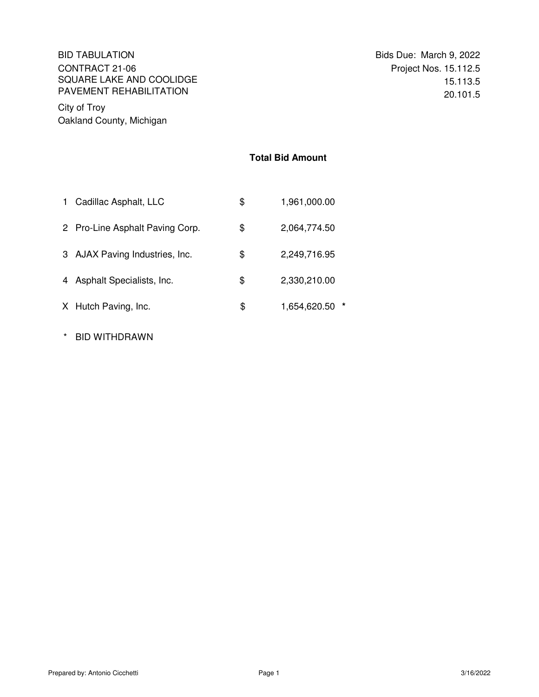#### BID TABULATION Bids Due: March 9, 2022 CONTRACT 21-06 SQUARE LAKE AND COOLIDGE PAVEMENT REHABILITATION

City of Troy Oakland County, Michigan

### **Total Bid Amount**

| $\mathbf 1$ | Cadillac Asphalt, LLC           | \$<br>1,961,000.00   |
|-------------|---------------------------------|----------------------|
|             | 2 Pro-Line Asphalt Paving Corp. | \$<br>2,064,774.50   |
|             | 3 AJAX Paving Industries, Inc.  | \$<br>2,249,716.95   |
|             | 4 Asphalt Specialists, Inc.     | \$<br>2,330,210.00   |
|             | X Hutch Paving, Inc.            | \$<br>1,654,620.50 * |

\* BID WITHDRAWN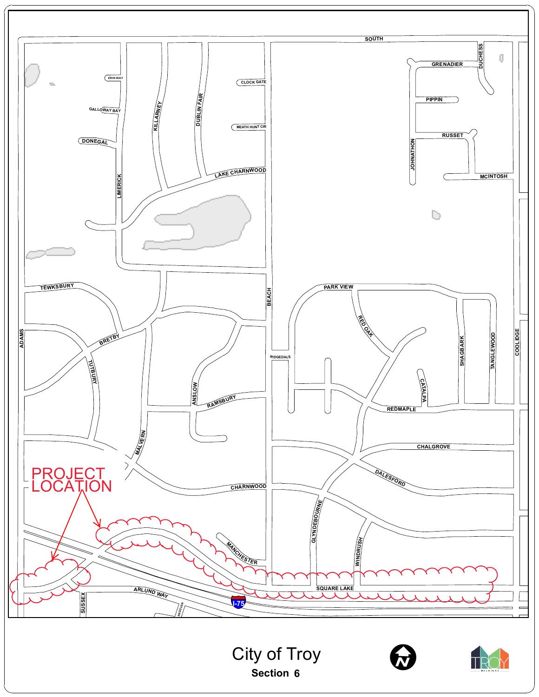